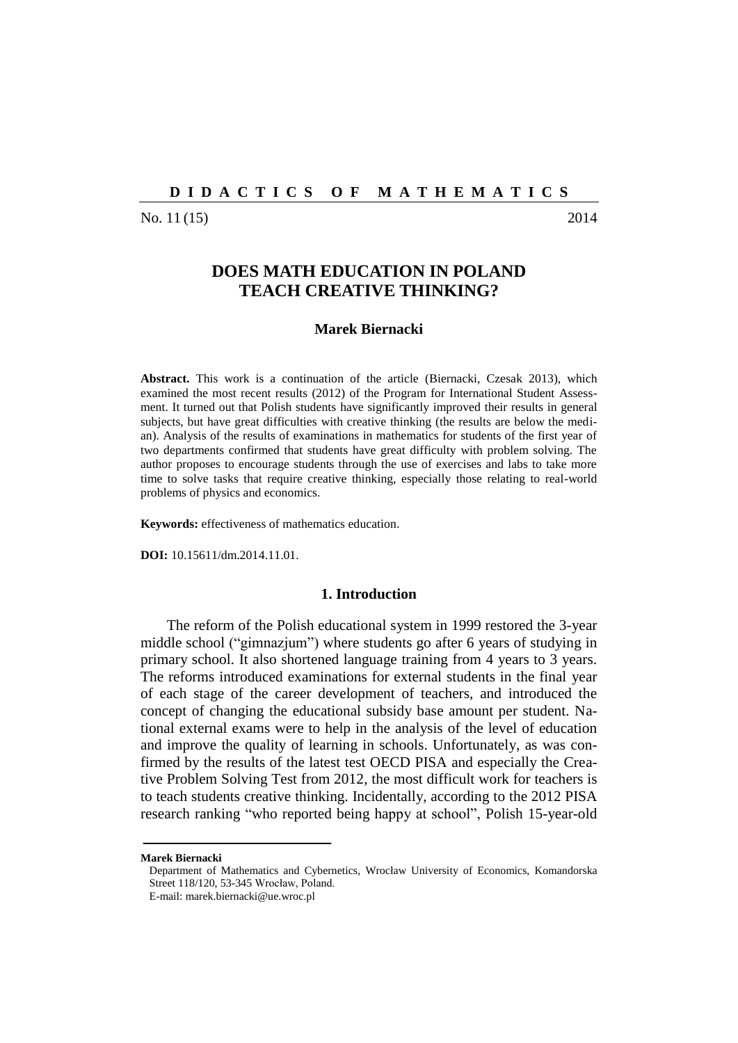#### **D I D A C T I C S O F M A T H E M A T I C S**

No. 11 (15) 2014

# **DOES MATH EDUCATION IN POLAND TEACH CREATIVE THINKING?**

## **Marek Biernacki**

**Abstract.** This work is a continuation of the article (Biernacki, Czesak 2013), which examined the most recent results (2012) of the Program for International Student Assessment. It turned out that Polish students have significantly improved their results in general subjects, but have great difficulties with creative thinking (the results are below the median). Analysis of the results of examinations in mathematics for students of the first year of two departments confirmed that students have great difficulty with problem solving. The author proposes to encourage students through the use of exercises and labs to take more time to solve tasks that require creative thinking, especially those relating to real-world problems of physics and economics.

**Keywords:** effectiveness of mathematics education.

**DOI:** 10.15611/dm.2014.11.01.

#### **1. Introduction**

The reform of the Polish educational system in 1999 restored the 3-year middle school ("gimnazjum") where students go after 6 years of studying in primary school. It also shortened language training from 4 years to 3 years. The reforms introduced examinations for external students in the final year of each stage of the career development of teachers, and introduced the concept of changing the educational subsidy base amount per student. National external exams were to help in the analysis of the level of education and improve the quality of learning in schools. Unfortunately, as was confirmed by the results of the latest test OECD PISA and especially the Creative Problem Solving Test from 2012, the most difficult work for teachers is to teach students creative thinking. Incidentally, according to the 2012 PISA research ranking "who reported being happy at school", Polish 15-year-old

**Marek Biernacki**

Department of Mathematics and Cybernetics, Wrocław University of Economics, Komandorska Street 118/120, 53-345 Wrocław, Poland.

E-mail: marek.biernacki@ue.wroc.pl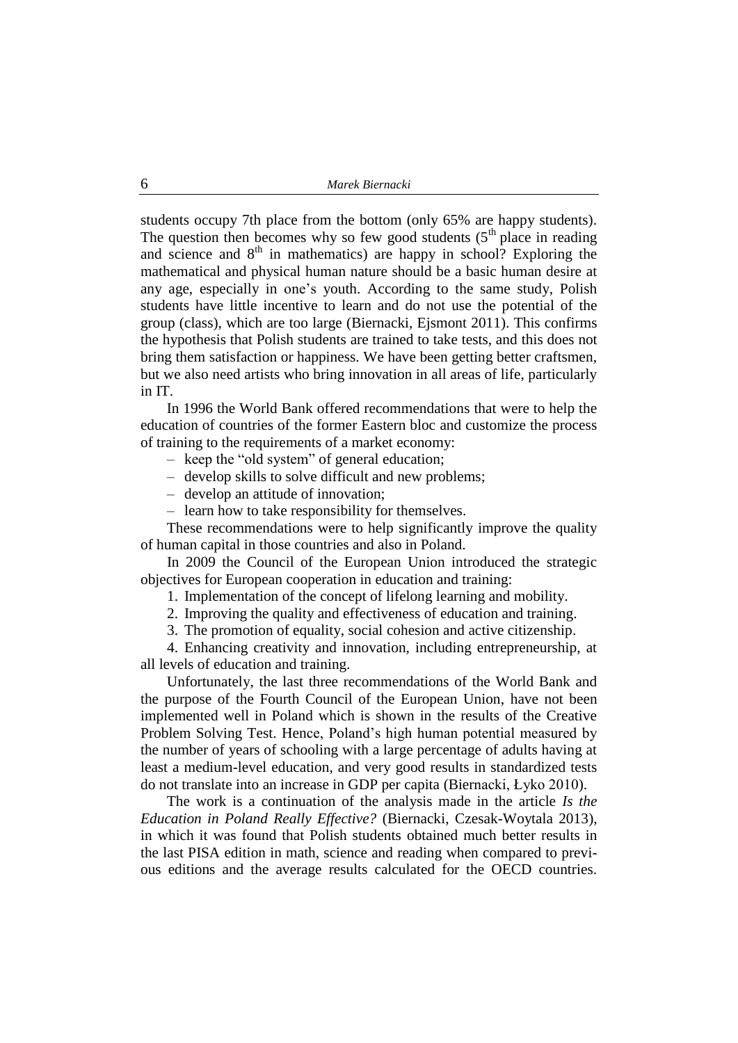students occupy 7th place from the bottom (only 65% are happy students). The question then becomes why so few good students  $(5<sup>th</sup>$  place in reading and science and  $8<sup>th</sup>$  in mathematics) are happy in school? Exploring the mathematical and physical human nature should be a basic human desire at any age, especially in one's youth. According to the same study, Polish students have little incentive to learn and do not use the potential of the group (class), which are too large (Biernacki, Ejsmont 2011). This confirms the hypothesis that Polish students are trained to take tests, and this does not bring them satisfaction or happiness. We have been getting better craftsmen, but we also need artists who bring innovation in all areas of life, particularly in IT.

In 1996 the World Bank offered recommendations that were to help the education of countries of the former Eastern bloc and customize the process of training to the requirements of a market economy:

– keep the "old system" of general education;

- develop skills to solve difficult and new problems;
- develop an attitude of innovation;
- learn how to take responsibility for themselves.

These recommendations were to help significantly improve the quality of human capital in those countries and also in Poland.

In 2009 the Council of the European Union introduced the strategic objectives for European cooperation in education and training:

1. Implementation of the concept of lifelong learning and mobility.

2. Improving the quality and effectiveness of education and training.

3. The promotion of equality, social cohesion and active citizenship.

4. Enhancing creativity and innovation, including entrepreneurship, at all levels of education and training.

Unfortunately, the last three recommendations of the World Bank and the purpose of the Fourth Council of the European Union, have not been implemented well in Poland which is shown in the results of the Creative Problem Solving Test. Hence, Poland's high human potential measured by the number of years of schooling with a large percentage of adults having at least a medium-level education, and very good results in standardized tests do not translate into an increase in GDP per capita (Biernacki, Łyko 2010).

The work is a continuation of the analysis made in the article *Is the Education in Poland Really Effective?* (Biernacki, Czesak-Woytala 2013), in which it was found that Polish students obtained much better results in the last PISA edition in math, science and reading when compared to previous editions and the average results calculated for the OECD countries.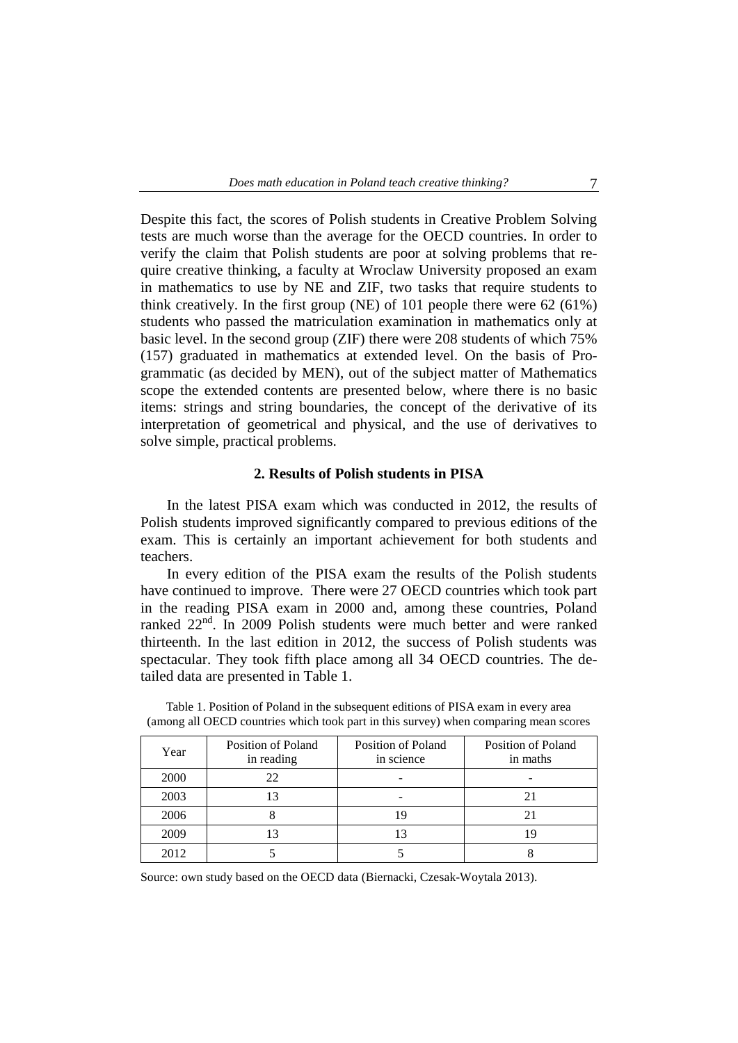Despite this fact, the scores of Polish students in Creative Problem Solving tests are much worse than the average for the OECD countries. In order to verify the claim that Polish students are poor at solving problems that require creative thinking, a faculty at Wroclaw University proposed an exam in mathematics to use by NE and ZIF, two tasks that require students to think creatively. In the first group (NE) of 101 people there were 62 (61%) students who passed the matriculation examination in mathematics only at basic level. In the second group (ZIF) there were 208 students of which 75% (157) graduated in mathematics at extended level. On the basis of Programmatic (as decided by MEN), out of the subject matter of Mathematics scope the extended contents are presented below, where there is no basic items: strings and string boundaries, the concept of the derivative of its interpretation of geometrical and physical, and the use of derivatives to solve simple, practical problems.

#### **2. Results of Polish students in PISA**

In the latest PISA exam which was conducted in 2012, the results of Polish students improved significantly compared to previous editions of the exam. This is certainly an important achievement for both students and teachers.

In every edition of the PISA exam the results of the Polish students have continued to improve. There were 27 OECD countries which took part in the reading PISA exam in 2000 and, among these countries, Poland ranked 22<sup>nd</sup>. In 2009 Polish students were much better and were ranked thirteenth. In the last edition in 2012, the success of Polish students was spectacular. They took fifth place among all 34 OECD countries. The detailed data are presented in Table 1.

| Year | Position of Poland<br>in reading | Position of Poland<br>in science | Position of Poland<br>in maths |
|------|----------------------------------|----------------------------------|--------------------------------|
| 2000 | 22                               |                                  |                                |
| 2003 | 13                               |                                  |                                |
| 2006 |                                  | 19                               |                                |
| 2009 |                                  | 13                               |                                |
| 2012 |                                  |                                  |                                |

Table 1. Position of Poland in the subsequent editions of PISA exam in every area (among all OECD countries which took part in this survey) when comparing mean scores

Source: own study based on the OECD data (Biernacki, Czesak-Woytala 2013).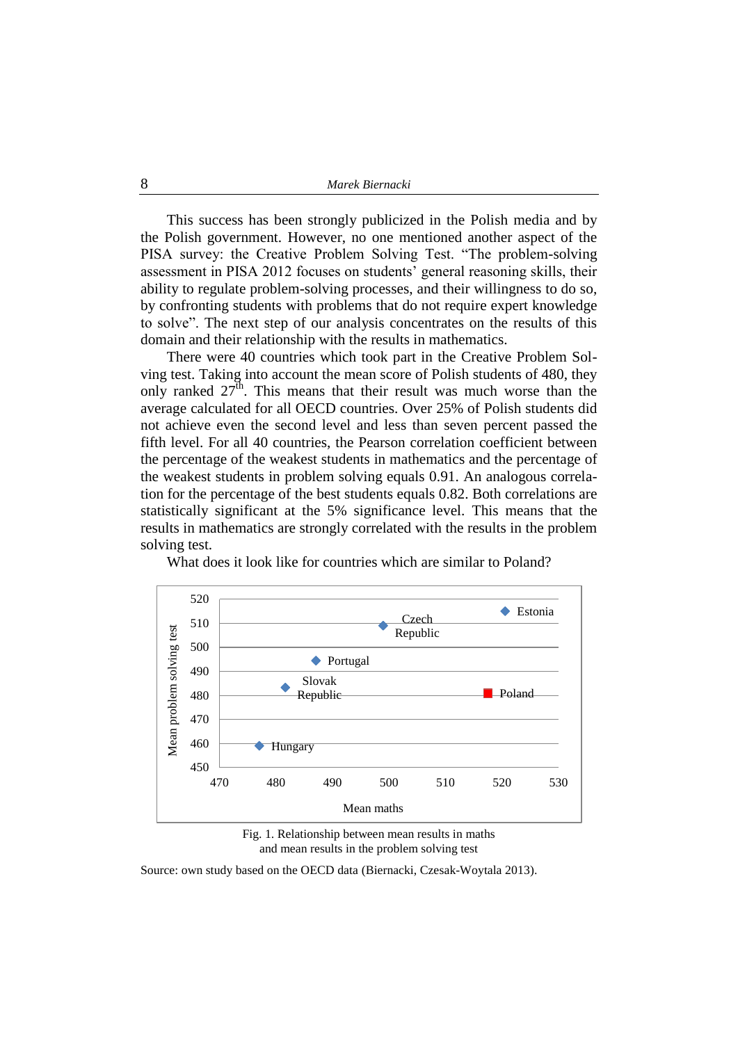This success has been strongly publicized in the Polish media and by the Polish government. However, no one mentioned another aspect of the PISA survey: the Creative Problem Solving Test. "The problem-solving assessment in PISA 2012 focuses on students' general reasoning skills, their ability to regulate problem-solving processes, and their willingness to do so, by confronting students with problems that do not require expert knowledge to solve". The next step of our analysis concentrates on the results of this domain and their relationship with the results in mathematics.

There were 40 countries which took part in the Creative Problem Solving test. Taking into account the mean score of Polish students of 480, they only ranked  $27^{\text{th}}$ . This means that their result was much worse than the average calculated for all OECD countries. Over 25% of Polish students did not achieve even the second level and less than seven percent passed the fifth level. For all 40 countries, the Pearson correlation coefficient between the percentage of the weakest students in mathematics and the percentage of the weakest students in problem solving equals 0.91. An analogous correlation for the percentage of the best students equals 0.82. Both correlations are statistically significant at the 5% significance level. This means that the results in mathematics are strongly correlated with the results in the problem solving test.



What does it look like for countries which are similar to Poland?

Fig. 1. Relationship between mean results in maths and mean results in the problem solving test

Source: own study based on the OECD data (Biernacki, Czesak-Woytala 2013).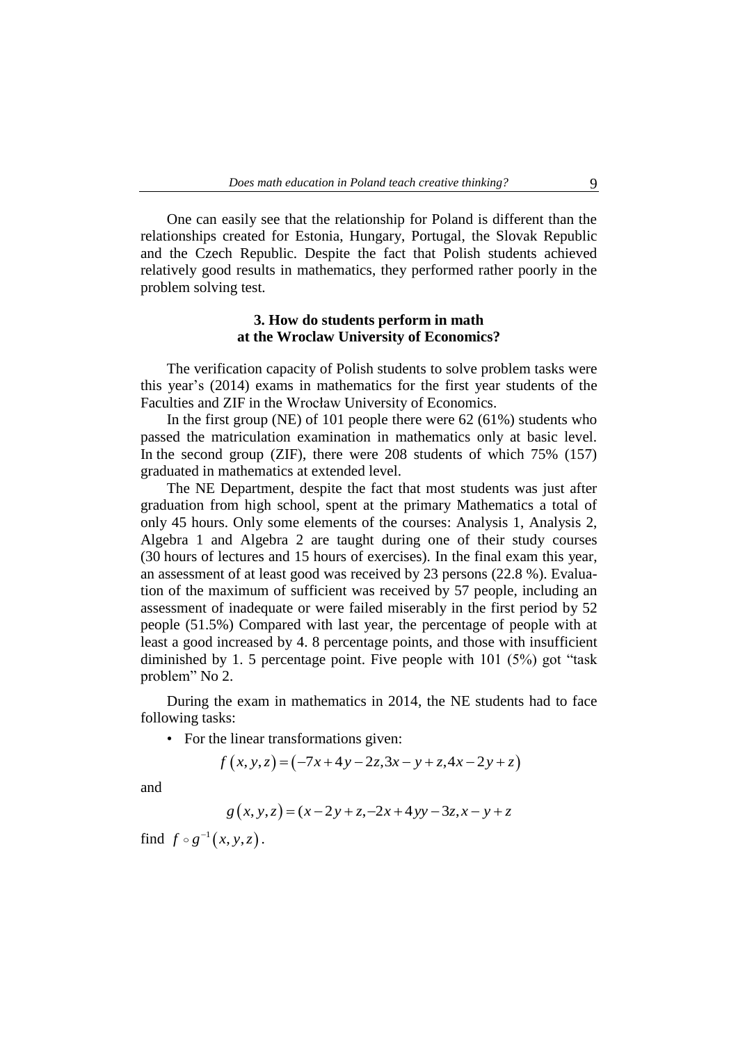One can easily see that the relationship for Poland is different than the relationships created for Estonia, Hungary, Portugal, the Slovak Republic and the Czech Republic. Despite the fact that Polish students achieved relatively good results in mathematics, they performed rather poorly in the problem solving test.

## **3. How do students perform in math at the Wroclaw University of Economics?**

The verification capacity of Polish students to solve problem tasks were this year's (2014) exams in mathematics for the first year students of the Faculties and ZIF in the Wrocław University of Economics.

In the first group (NE) of 101 people there were 62 (61%) students who passed the matriculation examination in mathematics only at basic level. In the second group (ZIF), there were 208 students of which 75% (157) graduated in mathematics at extended level.

The NE Department, despite the fact that most students was just after graduation from high school, spent at the primary Mathematics a total of only 45 hours. Only some elements of the courses: Analysis 1, Analysis 2, Algebra 1 and Algebra 2 are taught during one of their study courses (30 hours of lectures and 15 hours of exercises). In the final exam this year, an assessment of at least good was received by 23 persons (22.8 %). Evaluation of the maximum of sufficient was received by 57 people, including an assessment of inadequate or were failed miserably in the first period by 52 people (51.5%) Compared with last year, the percentage of people with at least a good increased by 4. 8 percentage points, and those with insufficient diminished by 1. 5 percentage point. Five people with 101 (5%) got "task problem" No 2.

During the exam in mathematics in 2014, the NE students had to face following tasks:

• For the linear transformations given:  
\n
$$
f(x, y, z) = (-7x + 4y - 2z, 3x - y + z, 4x - 2y + z)
$$

and

$$
g(x, y, z) = (x - 2y + z, -2x + 4yy - 3z, x - y + z)
$$

find  $f \circ g^{-1}(x, y, z)$ .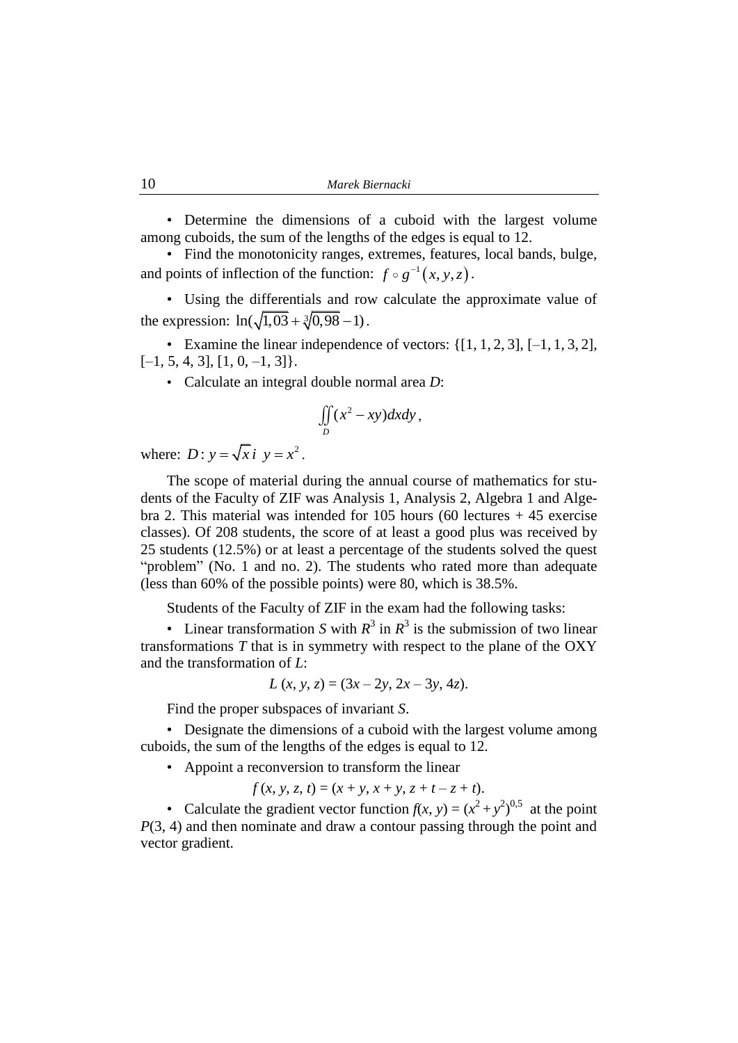• Determine the dimensions of a cuboid with the largest volume among cuboids, the sum of the lengths of the edges is equal to 12.

• Find the monotonicity ranges, extremes, features, local bands, bulge, and points of inflection of the function:  $f \circ g^{-1}(x, y, z)$ .

• Using the differentials and row calculate the approximate value of the expression:  $ln(\sqrt{1,03} + \sqrt[3]{0,98} - 1)$ .

• Examine the linear independence of vectors:  $\{[1, 1, 2, 3], [-1, 1, 3, 2],\}$  $[-1, 5, 4, 3], [1, 0, -1, 3]$ .

• Calculate an integral double normal area *D*:

$$
\iint\limits_{D} (x^2 - xy)dxdy,
$$

where:  $D: y = \sqrt{x} i y = x^2$ .

The scope of material during the annual course of mathematics for students of the Faculty of ZIF was Analysis 1, Analysis 2, Algebra 1 and Algebra 2. This material was intended for 105 hours (60 lectures  $+45$  exercise classes). Of 208 students, the score of at least a good plus was received by 25 students (12.5%) or at least a percentage of the students solved the quest "problem" (No. 1 and no. 2). The students who rated more than adequate (less than 60% of the possible points) were 80, which is 38.5%.

Students of the Faculty of ZIF in the exam had the following tasks:

• Linear transformation *S* with  $R^3$  in  $R^3$  is the submission of two linear transformations *T* that is in symmetry with respect to the plane of the OXY and the transformation of *L*:

$$
L(x, y, z) = (3x - 2y, 2x - 3y, 4z).
$$

Find the proper subspaces of invariant *S*.

• Designate the dimensions of a cuboid with the largest volume among cuboids, the sum of the lengths of the edges is equal to 12.

• Appoint a reconversion to transform the linear

 $f(x, y, z, t) = (x + y, x + y, z + t - z + t).$ 

• Calculate the gradient vector function  $f(x, y) = (x^2 + y^2)^{0.5}$  at the point *P*(3, 4) and then nominate and draw a contour passing through the point and vector gradient.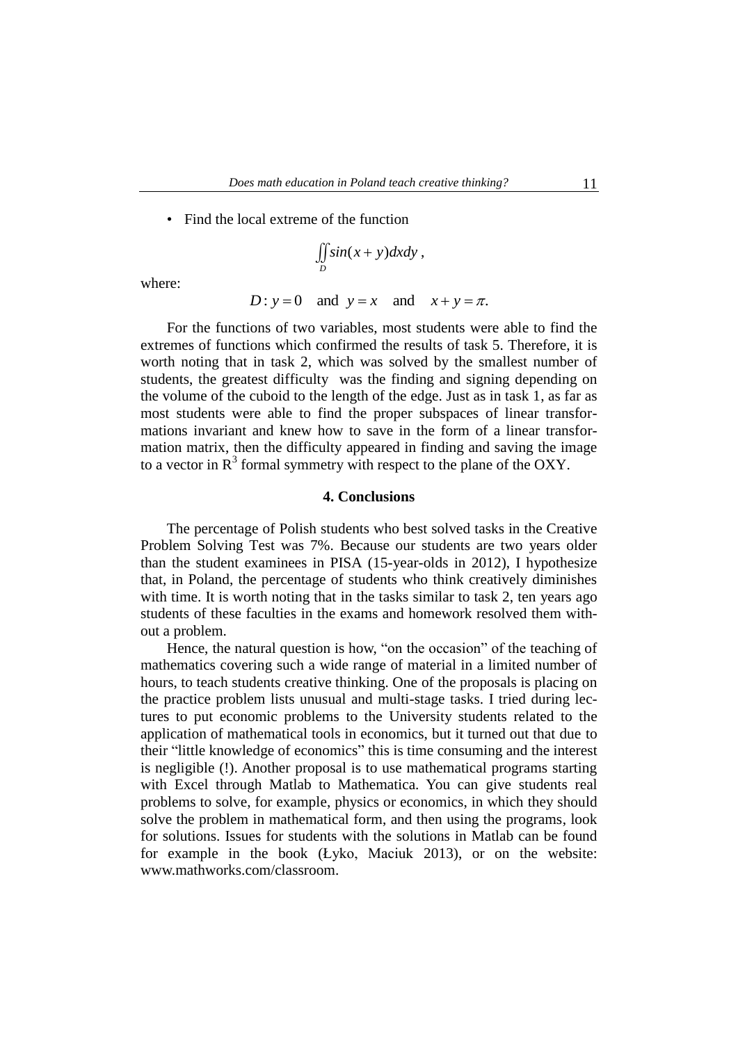• Find the local extreme of the function

$$
\iint_D \sin(x+y) dxdy,
$$

where:

$$
D: y = 0 \quad \text{and} \quad y = x \quad \text{and} \quad x + y = \pi.
$$

For the functions of two variables, most students were able to find the extremes of functions which confirmed the results of task 5. Therefore, it is worth noting that in task 2, which was solved by the smallest number of students, the greatest difficulty was the finding and signing depending on the volume of the cuboid to the length of the edge. Just as in task 1, as far as most students were able to find the proper subspaces of linear transformations invariant and knew how to save in the form of a linear transformation matrix, then the difficulty appeared in finding and saving the image to a vector in  $R<sup>3</sup>$  formal symmetry with respect to the plane of the OXY.

# **4. Conclusions**

The percentage of Polish students who best solved tasks in the Creative Problem Solving Test was 7%. Because our students are two years older than the student examinees in PISA (15-year-olds in 2012), I hypothesize that, in Poland, the percentage of students who think creatively diminishes with time. It is worth noting that in the tasks similar to task 2, ten years ago students of these faculties in the exams and homework resolved them without a problem.

Hence, the natural question is how, "on the occasion" of the teaching of mathematics covering such a wide range of material in a limited number of hours, to teach students creative thinking. One of the proposals is placing on the practice problem lists unusual and multi-stage tasks. I tried during lectures to put economic problems to the University students related to the application of mathematical tools in economics, but it turned out that due to their "little knowledge of economics" this is time consuming and the interest is negligible (!). Another proposal is to use mathematical programs starting with Excel through Matlab to Mathematica. You can give students real problems to solve, for example, physics or economics, in which they should solve the problem in mathematical form, and then using the programs, look for solutions. Issues for students with the solutions in Matlab can be found for example in the book (Łyko, Maciuk 2013), or on the website: www.mathworks.com/classroom.